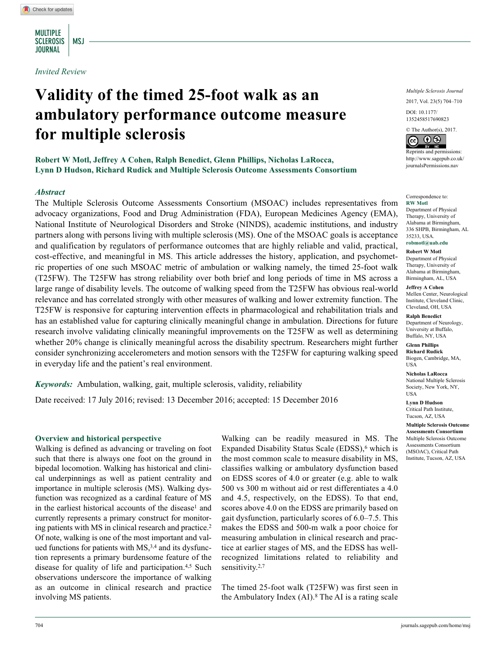MULTIPLE SCLEROSIS | MSJ **JOURNAL** 

*Invited Review*

# **Validity of the timed 25-foot walk as an ambulatory performance outcome measure for multiple sclerosis**

**Robert W Motl, Jeffrey A Cohen, Ralph Benedict, Glenn Phillips, Nicholas LaRocca, Lynn D Hudson, Richard Rudick and Multiple Sclerosis Outcome Assessments Consortium**

#### *Abstract*

The Multiple Sclerosis Outcome Assessments Consortium (MSOAC) includes representatives from advocacy organizations, Food and Drug Administration (FDA), European Medicines Agency (EMA), National Institute of Neurological Disorders and Stroke (NINDS), academic institutions, and industry partners along with persons living with multiple sclerosis (MS). One of the MSOAC goals is acceptance and qualification by regulators of performance outcomes that are highly reliable and valid, practical, cost-effective, and meaningful in MS. This article addresses the history, application, and psychometric properties of one such MSOAC metric of ambulation or walking namely, the timed 25-foot walk (T25FW). The T25FW has strong reliability over both brief and long periods of time in MS across a large range of disability levels. The outcome of walking speed from the T25FW has obvious real-world relevance and has correlated strongly with other measures of walking and lower extremity function. The T25FW is responsive for capturing intervention effects in pharmacological and rehabilitation trials and has an established value for capturing clinically meaningful change in ambulation. Directions for future research involve validating clinically meaningful improvements on the T25FW as well as determining whether 20% change is clinically meaningful across the disability spectrum. Researchers might further consider synchronizing accelerometers and motion sensors with the T25FW for capturing walking speed in everyday life and the patient's real environment.

*Keywords:* Ambulation, walking, gait, multiple sclerosis, validity, reliability

Date received: 17 July 2016; revised: 13 December 2016; accepted: 15 December 2016

#### **Overview and historical perspective**

Walking is defined as advancing or traveling on foot such that there is always one foot on the ground in bipedal locomotion. Walking has historical and clinical underpinnings as well as patient centrality and importance in multiple sclerosis (MS). Walking dysfunction was recognized as a cardinal feature of MS in the earliest historical accounts of the disease<sup>1</sup> and currently represents a primary construct for monitoring patients with MS in clinical research and practice.2 Of note, walking is one of the most important and valued functions for patients with  $MS<sub>1</sub><sup>3,4</sup>$  and its dysfunction represents a primary burdensome feature of the disease for quality of life and participation.4,5 Such observations underscore the importance of walking as an outcome in clinical research and practice involving MS patients.

Walking can be readily measured in MS. The Expanded Disability Status Scale  $(EDSS)$ , which is the most common scale to measure disability in MS, classifies walking or ambulatory dysfunction based on EDSS scores of 4.0 or greater (e.g. able to walk 500 vs 300 m without aid or rest differentiates a 4.0 and 4.5, respectively, on the EDSS). To that end, scores above 4.0 on the EDSS are primarily based on gait dysfunction, particularly scores of 6.0–7.5. This makes the EDSS and 500-m walk a poor choice for measuring ambulation in clinical research and practice at earlier stages of MS, and the EDSS has wellrecognized limitations related to reliability and sensitivity.<sup>2,7</sup>

The timed 25-foot walk (T25FW) was first seen in the Ambulatory Index  $(AI)$ .<sup>8</sup> The AI is a rating scale *Multiple Sclerosis Journal* 2017, Vol. 23(5) 704–710

DOI: 10.1177/ https://doi.org/10.1177/1352458517690823 1352458517690823

© The Author(s), 2017.



Reprints and permissions: [http://www.sagepub.co.uk/](https://uk.sagepub.com/en-gb/journals-permissions) [journalsPermissions.nav](https://uk.sagepub.com/en-gb/journals-permissions)

#### Correspondence to: **RW Motl**

Department of Physical Therapy, University of Alabama at Birmingham, 336 SHPB, Birmingham, AL 35233, USA.

### **robmotl@uab.edu**

**Robert W Motl** Department of Physical Therapy, University of Alabama at Birmingham,

Birmingham, AL, USA **Jeffrey A Cohen** Mellen Center, Neurological Institute, Cleveland Clinic, Cleveland, OH, USA

**Ralph Benedict** Department of Neurology, University at Buffalo, Buffalo, NY, USA

**Glenn Phillips Richard Rudick** Biogen, Cambridge, MA, USA

**Nicholas LaRocca** National Multiple Sclerosis Society, New York, NY, USA

**Lynn D Hudson** Critical Path Institute, Tucson, AZ, USA

**Multiple Sclerosis Outcome Assessments Consortium** Multiple Sclerosis Outcome Assessments Consortium (MSOAC), Critical Path Institute, Tucson, AZ, USA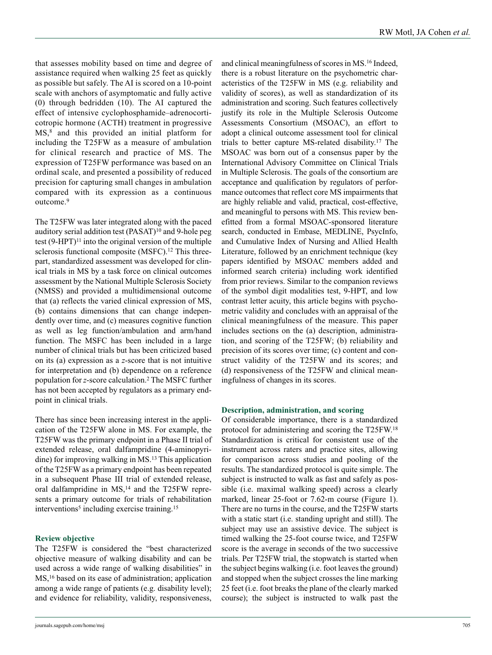that assesses mobility based on time and degree of assistance required when walking 25 feet as quickly as possible but safely. The AI is scored on a 10-point scale with anchors of asymptomatic and fully active (0) through bedridden (10). The AI captured the effect of intensive cyclophosphamide–adrenocorticotropic hormone (ACTH) treatment in progressive MS,<sup>8</sup> and this provided an initial platform for including the T25FW as a measure of ambulation for clinical research and practice of MS. The expression of T25FW performance was based on an ordinal scale, and presented a possibility of reduced precision for capturing small changes in ambulation compared with its expression as a continuous outcome.9

The T25FW was later integrated along with the paced auditory serial addition test (PASAT)<sup>10</sup> and 9-hole peg test  $(9 - HPT)^{11}$  into the original version of the multiple sclerosis functional composite (MSFC).<sup>12</sup> This threepart, standardized assessment was developed for clinical trials in MS by a task force on clinical outcomes assessment by the National Multiple Sclerosis Society (NMSS) and provided a multidimensional outcome that (a) reflects the varied clinical expression of MS, (b) contains dimensions that can change independently over time, and (c) measures cognitive function as well as leg function/ambulation and arm/hand function. The MSFC has been included in a large number of clinical trials but has been criticized based on its (a) expression as a *z*-score that is not intuitive for interpretation and (b) dependence on a reference population for *z*-score calculation.2 The MSFC further has not been accepted by regulators as a primary endpoint in clinical trials.

There has since been increasing interest in the application of the T25FW alone in MS. For example, the T25FW was the primary endpoint in a Phase II trial of extended release, oral dalfampridine (4-aminopyridine) for improving walking in MS.13 This application of the T25FW as a primary endpoint has been repeated in a subsequent Phase III trial of extended release, oral dalfampridine in MS,<sup>14</sup> and the T25FW represents a primary outcome for trials of rehabilitation interventions<sup>5</sup> including exercise training.<sup>15</sup>

### **Review objective**

The T25FW is considered the "best characterized objective measure of walking disability and can be used across a wide range of walking disabilities" in MS,<sup>16</sup> based on its ease of administration; application among a wide range of patients (e.g. disability level); and evidence for reliability, validity, responsiveness,

[journals.sagepub.com/home/msj](https://journals.sagepub.com/home/msj) 705

and clinical meaningfulness of scores in MS.16 Indeed, there is a robust literature on the psychometric characteristics of the T25FW in MS (e.g. reliability and validity of scores), as well as standardization of its administration and scoring. Such features collectively justify its role in the Multiple Sclerosis Outcome Assessments Consortium (MSOAC), an effort to adopt a clinical outcome assessment tool for clinical trials to better capture MS-related disability.17 The MSOAC was born out of a consensus paper by the International Advisory Committee on Clinical Trials in Multiple Sclerosis. The goals of the consortium are acceptance and qualification by regulators of performance outcomes that reflect core MS impairments that are highly reliable and valid, practical, cost-effective, and meaningful to persons with MS. This review benefitted from a formal MSOAC-sponsored literature search, conducted in Embase, MEDLINE, PsycInfo, and Cumulative Index of Nursing and Allied Health Literature, followed by an enrichment technique (key papers identified by MSOAC members added and informed search criteria) including work identified from prior reviews. Similar to the companion reviews of the symbol digit modalities test, 9-HPT, and low contrast letter acuity, this article begins with psychometric validity and concludes with an appraisal of the clinical meaningfulness of the measure. This paper includes sections on the (a) description, administration, and scoring of the T25FW; (b) reliability and precision of its scores over time; (c) content and construct validity of the T25FW and its scores; and (d) responsiveness of the T25FW and clinical meaningfulness of changes in its scores.

#### **Description, administration, and scoring**

Of considerable importance, there is a standardized protocol for administering and scoring the T25FW.18 Standardization is critical for consistent use of the instrument across raters and practice sites, allowing for comparison across studies and pooling of the results. The standardized protocol is quite simple. The subject is instructed to walk as fast and safely as possible (i.e. maximal walking speed) across a clearly marked, linear 25-foot or 7.62-m course (Figure 1). There are no turns in the course, and the T25FW starts with a static start (i.e. standing upright and still). The subject may use an assistive device. The subject is timed walking the 25-foot course twice, and T25FW score is the average in seconds of the two successive trials. Per T25FW trial, the stopwatch is started when the subject begins walking (i.e. foot leaves the ground) and stopped when the subject crosses the line marking 25 feet (i.e. foot breaks the plane of the clearly marked course); the subject is instructed to walk past the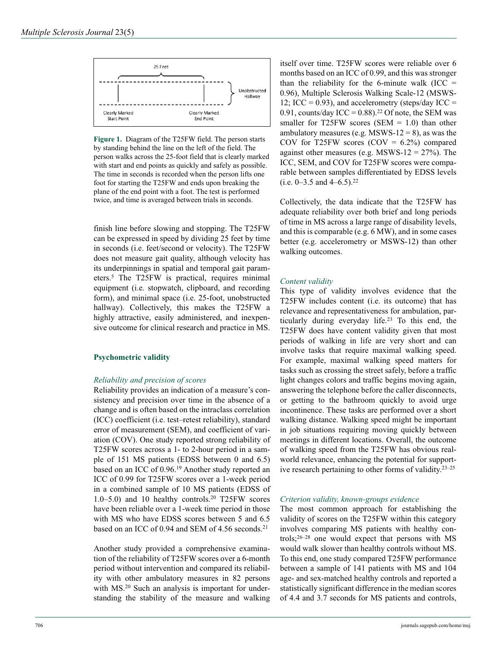

**Figure 1.** Diagram of the T25FW field. The person starts by standing behind the line on the left of the field. The person walks across the 25-foot field that is clearly marked with start and end points as quickly and safely as possible. The time in seconds is recorded when the person lifts one foot for starting the T25FW and ends upon breaking the plane of the end point with a foot. The test is performed twice, and time is averaged between trials in seconds.

finish line before slowing and stopping. The T25FW can be expressed in speed by dividing 25 feet by time in seconds (i.e. feet/second or velocity). The T25FW does not measure gait quality, although velocity has its underpinnings in spatial and temporal gait parameters.5 The T25FW is practical, requires minimal equipment (i.e. stopwatch, clipboard, and recording form), and minimal space (i.e. 25-foot, unobstructed hallway). Collectively, this makes the T25FW a highly attractive, easily administered, and inexpensive outcome for clinical research and practice in MS.

### **Psychometric validity**

#### *Reliability and precision of scores*

Reliability provides an indication of a measure's consistency and precision over time in the absence of a change and is often based on the intraclass correlation (ICC) coefficient (i.e. test–retest reliability), standard error of measurement (SEM), and coefficient of variation (COV). One study reported strong reliability of T25FW scores across a 1- to 2-hour period in a sample of 151 MS patients (EDSS between 0 and 6.5) based on an ICC of 0.96.19 Another study reported an ICC of 0.99 for T25FW scores over a 1-week period in a combined sample of 10 MS patients (EDSS of 1.0–5.0) and 10 healthy controls.20 T25FW scores have been reliable over a 1-week time period in those with MS who have EDSS scores between 5 and 6.5 based on an ICC of 0.94 and SEM of 4.56 seconds.<sup>21</sup>

Another study provided a comprehensive examination of the reliability of T25FW scores over a 6-month period without intervention and compared its reliability with other ambulatory measures in 82 persons with MS.<sup>20</sup> Such an analysis is important for understanding the stability of the measure and walking

itself over time. T25FW scores were reliable over 6 months based on an ICC of 0.99, and this was stronger than the reliability for the 6-minute walk (ICC  $=$ 0.96), Multiple Sclerosis Walking Scale-12 (MSWS-12; ICC = 0.93), and accelerometry (steps/day ICC = 0.91, counts/day ICC =  $0.88$ ).<sup>22</sup> Of note, the SEM was smaller for T25FW scores (SEM  $= 1.0$ ) than other ambulatory measures (e.g. MSWS-12 = 8), as was the COV for T25FW scores  $(COV = 6.2%)$  compared against other measures (e.g.  $MSWS-12 = 27\%$ ). The ICC, SEM, and COV for T25FW scores were comparable between samples differentiated by EDSS levels (i.e.  $0-3.5$  and  $4-6.5$ ).<sup>22</sup>

Collectively, the data indicate that the T25FW has adequate reliability over both brief and long periods of time in MS across a large range of disability levels, and this is comparable (e.g. 6 MW), and in some cases better (e.g. accelerometry or MSWS-12) than other walking outcomes.

#### *Content validity*

This type of validity involves evidence that the T25FW includes content (i.e. its outcome) that has relevance and representativeness for ambulation, particularly during everyday life.23 To this end, the T25FW does have content validity given that most periods of walking in life are very short and can involve tasks that require maximal walking speed. For example, maximal walking speed matters for tasks such as crossing the street safely, before a traffic light changes colors and traffic begins moving again, answering the telephone before the caller disconnects, or getting to the bathroom quickly to avoid urge incontinence. These tasks are performed over a short walking distance. Walking speed might be important in job situations requiring moving quickly between meetings in different locations. Overall, the outcome of walking speed from the T25FW has obvious realworld relevance, enhancing the potential for supportive research pertaining to other forms of validity.23–25

#### *Criterion validity, known-groups evidence*

The most common approach for establishing the validity of scores on the T25FW within this category involves comparing MS patients with healthy controls;26–28 one would expect that persons with MS would walk slower than healthy controls without MS. To this end, one study compared T25FW performance between a sample of 141 patients with MS and 104 age- and sex-matched healthy controls and reported a statistically significant difference in the median scores of 4.4 and 3.7 seconds for MS patients and controls,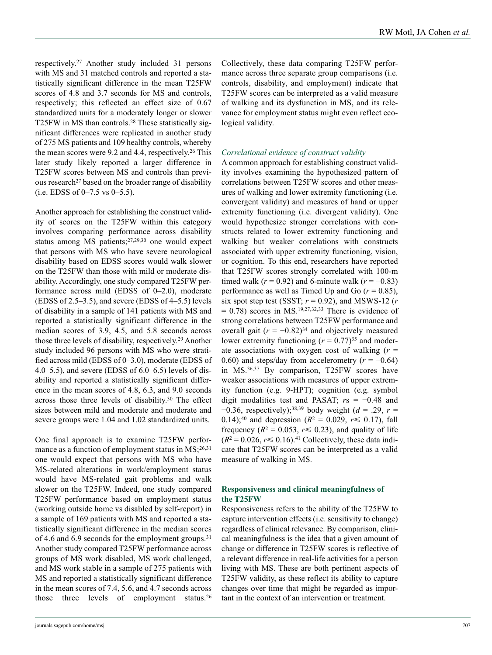respectively.27 Another study included 31 persons with MS and 31 matched controls and reported a statistically significant difference in the mean T25FW scores of 4.8 and 3.7 seconds for MS and controls, respectively; this reflected an effect size of 0.67 standardized units for a moderately longer or slower T25FW in MS than controls.28 These statistically significant differences were replicated in another study of 275 MS patients and 109 healthy controls, whereby the mean scores were 9.2 and 4.4, respectively.<sup>26</sup> This later study likely reported a larger difference in T25FW scores between MS and controls than previous research<sup>27</sup> based on the broader range of disability  $(i.e. EDSS of 0-7.5 vs 0-5.5).$ 

Another approach for establishing the construct validity of scores on the T25FW within this category involves comparing performance across disability status among MS patients;27,29,30 one would expect that persons with MS who have severe neurological disability based on EDSS scores would walk slower on the T25FW than those with mild or moderate disability. Accordingly, one study compared T25FW performance across mild (EDSS of 0–2.0), moderate (EDSS of 2.5–3.5), and severe (EDSS of 4–5.5) levels of disability in a sample of 141 patients with MS and reported a statistically significant difference in the median scores of 3.9, 4.5, and 5.8 seconds across those three levels of disability, respectively.29 Another study included 96 persons with MS who were stratified across mild (EDSS of 0–3.0), moderate (EDSS of 4.0–5.5), and severe (EDSS of 6.0–6.5) levels of disability and reported a statistically significant difference in the mean scores of 4.8, 6.3, and 9.0 seconds across those three levels of disability.30 The effect sizes between mild and moderate and moderate and severe groups were 1.04 and 1.02 standardized units.

One final approach is to examine T25FW performance as a function of employment status in  $MS$ ;<sup>26,31</sup> one would expect that persons with MS who have MS-related alterations in work/employment status would have MS-related gait problems and walk slower on the T25FW. Indeed, one study compared T25FW performance based on employment status (working outside home vs disabled by self-report) in a sample of 169 patients with MS and reported a statistically significant difference in the median scores of 4.6 and 6.9 seconds for the employment groups.<sup>31</sup> Another study compared T25FW performance across groups of MS work disabled, MS work challenged, and MS work stable in a sample of 275 patients with MS and reported a statistically significant difference in the mean scores of 7.4, 5.6, and 4.7 seconds across those three levels of employment status.<sup>26</sup> Collectively, these data comparing T25FW performance across three separate group comparisons (i.e. controls, disability, and employment) indicate that T25FW scores can be interpreted as a valid measure of walking and its dysfunction in MS, and its relevance for employment status might even reflect ecological validity.

## *Correlational evidence of construct validity*

A common approach for establishing construct validity involves examining the hypothesized pattern of correlations between T25FW scores and other measures of walking and lower extremity functioning (i.e. convergent validity) and measures of hand or upper extremity functioning (i.e. divergent validity). One would hypothesize stronger correlations with constructs related to lower extremity functioning and walking but weaker correlations with constructs associated with upper extremity functioning, vision, or cognition. To this end, researchers have reported that T25FW scores strongly correlated with 100-m timed walk ( $r = 0.92$ ) and 6-minute walk ( $r = -0.83$ ) performance as well as Timed Up and Go  $(r = 0.85)$ , six spot step test (SSST;  $r = 0.92$ ), and MSWS-12 ( $r = 0.92$ )  $= 0.78$ ) scores in MS.<sup>19,27,32,33</sup> There is evidence of strong correlations between T25FW performance and overall gait  $(r = -0.82)^{34}$  and objectively measured lower extremity functioning  $(r = 0.77)^{35}$  and moderate associations with oxygen cost of walking  $(r =$ 0.60) and steps/day from accelerometry  $(r = -0.64)$ in MS.36,37 By comparison, T25FW scores have weaker associations with measures of upper extremity function (e.g. 9-HPT); cognition (e.g. symbol digit modalities test and PASAT; *r*s = −0.48 and −0.36, respectively);38,39 body weight (*d* = .29, *r* = 0.14);<sup>40</sup> and depression ( $R^2 = 0.029$ ,  $r \le 0.17$ ), fall frequency ( $R^2 = 0.053$ ,  $r \le 0.23$ ), and quality of life  $(R^2 = 0.026, r \le 0.16)$ .<sup>41</sup> Collectively, these data indicate that T25FW scores can be interpreted as a valid measure of walking in MS.

### **Responsiveness and clinical meaningfulness of the T25FW**

Responsiveness refers to the ability of the T25FW to capture intervention effects (i.e. sensitivity to change) regardless of clinical relevance. By comparison, clinical meaningfulness is the idea that a given amount of change or difference in T25FW scores is reflective of a relevant difference in real-life activities for a person living with MS. These are both pertinent aspects of T25FW validity, as these reflect its ability to capture changes over time that might be regarded as important in the context of an intervention or treatment.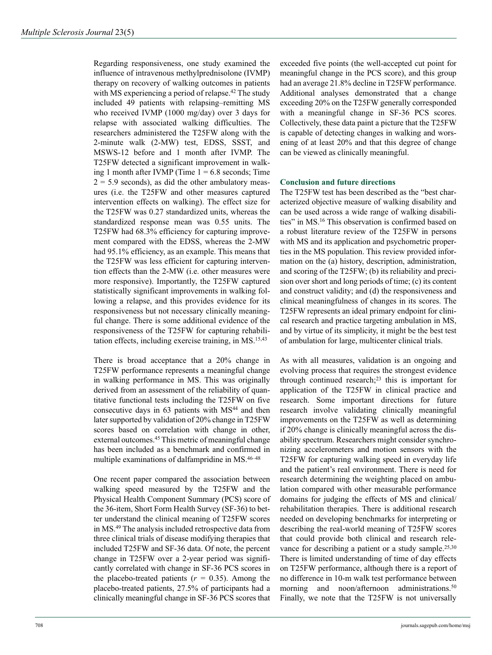Regarding responsiveness, one study examined the influence of intravenous methylprednisolone (IVMP) therapy on recovery of walking outcomes in patients with MS experiencing a period of relapse.42 The study included 49 patients with relapsing–remitting MS who received IVMP (1000 mg/day) over 3 days for relapse with associated walking difficulties. The researchers administered the T25FW along with the 2-minute walk (2-MW) test, EDSS, SSST, and MSWS-12 before and 1 month after IVMP. The T25FW detected a significant improvement in walking 1 month after IVMP (Time  $1 = 6.8$  seconds; Time  $2 = 5.9$  seconds), as did the other ambulatory measures (i.e. the T25FW and other measures captured intervention effects on walking). The effect size for the T25FW was 0.27 standardized units, whereas the standardized response mean was 0.55 units. The T25FW had 68.3% efficiency for capturing improvement compared with the EDSS, whereas the 2-MW had 95.1% efficiency, as an example. This means that the T25FW was less efficient for capturing intervention effects than the 2-MW (i.e. other measures were more responsive). Importantly, the T25FW captured statistically significant improvements in walking following a relapse, and this provides evidence for its responsiveness but not necessary clinically meaningful change. There is some additional evidence of the responsiveness of the T25FW for capturing rehabilitation effects, including exercise training, in MS.15,43

There is broad acceptance that a 20% change in T25FW performance represents a meaningful change in walking performance in MS. This was originally derived from an assessment of the reliability of quantitative functional tests including the T25FW on five consecutive days in  $63$  patients with  $MS<sup>44</sup>$  and then later supported by validation of 20% change in T25FW scores based on correlation with change in other, external outcomes.<sup>45</sup> This metric of meaningful change has been included as a benchmark and confirmed in multiple examinations of dalfampridine in MS.46–48

One recent paper compared the association between walking speed measured by the T25FW and the Physical Health Component Summary (PCS) score of the 36-item, Short Form Health Survey (SF-36) to better understand the clinical meaning of T25FW scores in MS.49 The analysis included retrospective data from three clinical trials of disease modifying therapies that included T25FW and SF-36 data. Of note, the percent change in T25FW over a 2-year period was significantly correlated with change in SF-36 PCS scores in the placebo-treated patients  $(r = 0.35)$ . Among the placebo-treated patients, 27.5% of participants had a clinically meaningful change in SF-36 PCS scores that

exceeded five points (the well-accepted cut point for meaningful change in the PCS score), and this group had an average 21.8% decline in T25FW performance. Additional analyses demonstrated that a change exceeding 20% on the T25FW generally corresponded with a meaningful change in SF-36 PCS scores. Collectively, these data paint a picture that the T25FW is capable of detecting changes in walking and worsening of at least 20% and that this degree of change can be viewed as clinically meaningful.

# **Conclusion and future directions**

The T25FW test has been described as the "best characterized objective measure of walking disability and can be used across a wide range of walking disabilities" in MS.16 This observation is confirmed based on a robust literature review of the T25FW in persons with MS and its application and psychometric properties in the MS population. This review provided information on the (a) history, description, administration, and scoring of the T25FW; (b) its reliability and precision over short and long periods of time; (c) its content and construct validity; and (d) the responsiveness and clinical meaningfulness of changes in its scores. The T25FW represents an ideal primary endpoint for clinical research and practice targeting ambulation in MS, and by virtue of its simplicity, it might be the best test of ambulation for large, multicenter clinical trials.

As with all measures, validation is an ongoing and evolving process that requires the strongest evidence through continued research;<sup>23</sup> this is important for application of the T25FW in clinical practice and research. Some important directions for future research involve validating clinically meaningful improvements on the T25FW as well as determining if 20% change is clinically meaningful across the disability spectrum. Researchers might consider synchronizing accelerometers and motion sensors with the T25FW for capturing walking speed in everyday life and the patient's real environment. There is need for research determining the weighting placed on ambulation compared with other measurable performance domains for judging the effects of MS and clinical/ rehabilitation therapies. There is additional research needed on developing benchmarks for interpreting or describing the real-world meaning of T25FW scores that could provide both clinical and research relevance for describing a patient or a study sample.<sup>25,30</sup> There is limited understanding of time of day effects on T25FW performance, although there is a report of no difference in 10-m walk test performance between morning and noon/afternoon administrations.<sup>50</sup> Finally, we note that the T25FW is not universally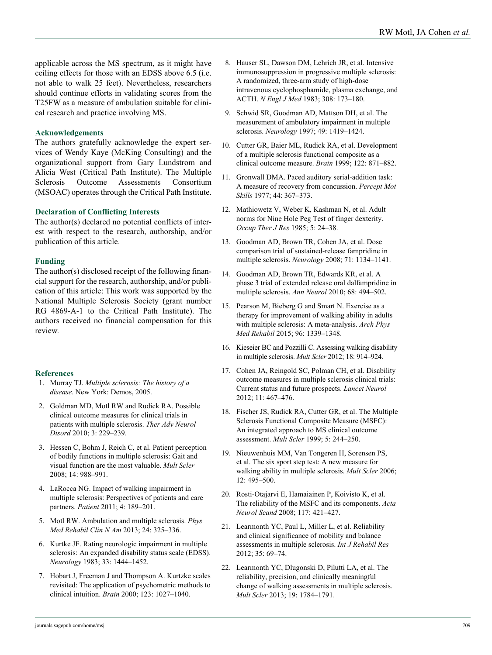applicable across the MS spectrum, as it might have ceiling effects for those with an EDSS above 6.5 (i.e. not able to walk 25 feet). Nevertheless, researchers should continue efforts in validating scores from the T25FW as a measure of ambulation suitable for clinical research and practice involving MS.

#### **Acknowledgements**

The authors gratefully acknowledge the expert services of Wendy Kaye (McKing Consulting) and the organizational support from Gary Lundstrom and Alicia West (Critical Path Institute). The Multiple Sclerosis Outcome Assessments Consortium (MSOAC) operates through the Critical Path Institute.

#### **Declaration of Conflicting Interests**

The author(s) declared no potential conflicts of interest with respect to the research, authorship, and/or publication of this article.

#### **Funding**

The author(s) disclosed receipt of the following financial support for the research, authorship, and/or publication of this article: This work was supported by the National Multiple Sclerosis Society (grant number RG 4869-A-1 to the Critical Path Institute). The authors received no financial compensation for this review.

### **References**

- 1. Murray TJ. *Multiple sclerosis: The history of a disease*. New York: Demos, 2005.
- 2. Goldman MD, Motl RW and Rudick RA. Possible clinical outcome measures for clinical trials in patients with multiple sclerosis. *Ther Adv Neurol Disord* 2010; 3: 229–239.
- 3. Hessen C, Bohm J, Reich C, et al. Patient perception of bodily functions in multiple sclerosis: Gait and visual function are the most valuable. *Mult Scler* 2008; 14: 988–991.
- 4. LaRocca NG. Impact of walking impairment in multiple sclerosis: Perspectives of patients and care partners. *Patient* 2011; 4: 189–201.
- 5. Motl RW. Ambulation and multiple sclerosis. *Phys Med Rehabil Clin N Am* 2013; 24: 325–336.
- 6. Kurtke JF. Rating neurologic impairment in multiple sclerosis: An expanded disability status scale (EDSS). *Neurology* 1983; 33: 1444–1452.
- 7. Hobart J, Freeman J and Thompson A. Kurtzke scales revisited: The application of psychometric methods to clinical intuition. *Brain* 2000; 123: 1027–1040.
- 8. Hauser SL, Dawson DM, Lehrich JR, et al. Intensive immunosuppression in progressive multiple sclerosis: A randomized, three-arm study of high-dose intravenous cyclophosphamide, plasma exchange, and ACTH. *N Engl J Med* 1983; 308: 173–180.
- 9. Schwid SR, Goodman AD, Mattson DH, et al. The measurement of ambulatory impairment in multiple sclerosis. *Neurology* 1997; 49: 1419–1424.
- 10. Cutter GR, Baier ML, Rudick RA, et al. Development of a multiple sclerosis functional composite as a clinical outcome measure. *Brain* 1999; 122: 871–882.
- 11. Gronwall DMA. Paced auditory serial-addition task: A measure of recovery from concussion. *Percept Mot Skills* 1977; 44: 367–373.
- 12. Mathiowetz V, Weber K, Kashman N, et al. Adult norms for Nine Hole Peg Test of finger dexterity. *Occup Ther J Res* 1985; 5: 24–38.
- 13. Goodman AD, Brown TR, Cohen JA, et al. Dose comparison trial of sustained-release fampridine in multiple sclerosis. *Neurology* 2008; 71: 1134–1141.
- 14. Goodman AD, Brown TR, Edwards KR, et al. A phase 3 trial of extended release oral dalfampridine in multiple sclerosis. *Ann Neurol* 2010; 68: 494–502.
- 15. Pearson M, Bieberg G and Smart N. Exercise as a therapy for improvement of walking ability in adults with multiple sclerosis: A meta-analysis. *Arch Phys Med Rehabil* 2015; 96: 1339–1348.
- 16. Kieseier BC and Pozzilli C. Assessing walking disability in multiple sclerosis. *Mult Scler* 2012; 18: 914–924.
- 17. Cohen JA, Reingold SC, Polman CH, et al. Disability outcome measures in multiple sclerosis clinical trials: Current status and future prospects. *Lancet Neurol* 2012; 11: 467–476.
- 18. Fischer JS, Rudick RA, Cutter GR, et al. The Multiple Sclerosis Functional Composite Measure (MSFC): An integrated approach to MS clinical outcome assessment. *Mult Scler* 1999; 5: 244–250.
- 19. Nieuwenhuis MM, Van Tongeren H, Sorensen PS, et al. The six sport step test: A new measure for walking ability in multiple sclerosis. *Mult Scler* 2006; 12: 495–500.
- 20. Rosti-Otajarvi E, Hamaiainen P, Koivisto K, et al. The reliability of the MSFC and its components. *Acta Neurol Scand* 2008; 117: 421–427.
- 21. Learmonth YC, Paul L, Miller L, et al. Reliability and clinical significance of mobility and balance assessments in multiple sclerosis. *Int J Rehabil Res* 2012; 35: 69–74.
- 22. Learmonth YC, Dlugonski D, Pilutti LA, et al. The reliability, precision, and clinically meaningful change of walking assessments in multiple sclerosis. *Mult Scler* 2013; 19: 1784–1791.